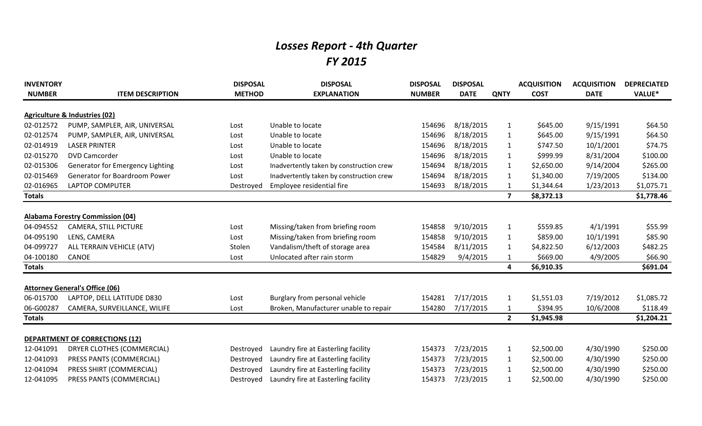## *Losses Report - 4th Quarter FY 2015*

| <b>INVENTORY</b> |                                         | <b>DISPOSAL</b> | <b>DISPOSAL</b>                          | <b>DISPOSAL</b> | <b>DISPOSAL</b> |                         | <b>ACQUISITION</b> | <b>ACQUISITION</b> | <b>DEPRECIATED</b> |
|------------------|-----------------------------------------|-----------------|------------------------------------------|-----------------|-----------------|-------------------------|--------------------|--------------------|--------------------|
| <b>NUMBER</b>    | <b>ITEM DESCRIPTION</b>                 | <b>METHOD</b>   | <b>EXPLANATION</b>                       | <b>NUMBER</b>   | <b>DATE</b>     | <b>QNTY</b>             | <b>COST</b>        | <b>DATE</b>        | VALUE*             |
|                  | Agriculture & Industries (02)           |                 |                                          |                 |                 |                         |                    |                    |                    |
| 02-012572        | PUMP, SAMPLER, AIR, UNIVERSAL           | Lost            | Unable to locate                         | 154696          | 8/18/2015       | $\mathbf{1}$            | \$645.00           | 9/15/1991          | \$64.50            |
| 02-012574        | PUMP, SAMPLER, AIR, UNIVERSAL           | Lost            | Unable to locate                         | 154696          | 8/18/2015       | $\mathbf{1}$            | \$645.00           | 9/15/1991          | \$64.50            |
| 02-014919        | <b>LASER PRINTER</b>                    | Lost            | Unable to locate                         | 154696          | 8/18/2015       | $\mathbf{1}$            | \$747.50           | 10/1/2001          | \$74.75            |
| 02-015270        | <b>DVD Camcorder</b>                    | Lost            | Unable to locate                         | 154696          | 8/18/2015       | $\mathbf{1}$            | \$999.99           | 8/31/2004          | \$100.00           |
| 02-015306        | Generator for Emergency Lighting        | Lost            | Inadvertently taken by construction crew | 154694          | 8/18/2015       | $\mathbf{1}$            | \$2,650.00         | 9/14/2004          | \$265.00           |
| 02-015469        | Generator for Boardroom Power           | Lost            | Inadvertently taken by construction crew | 154694          | 8/18/2015       | $\mathbf{1}$            | \$1,340.00         | 7/19/2005          | \$134.00           |
| 02-016965        | LAPTOP COMPUTER                         | Destroyed       | Employee residential fire                | 154693          | 8/18/2015       | $\mathbf{1}$            | \$1,344.64         | 1/23/2013          | \$1,075.71         |
| <b>Totals</b>    |                                         |                 |                                          |                 |                 | $\overline{\mathbf{z}}$ | \$8,372.13         |                    | \$1,778.46         |
|                  |                                         |                 |                                          |                 |                 |                         |                    |                    |                    |
|                  | <b>Alabama Forestry Commission (04)</b> |                 |                                          |                 |                 |                         |                    |                    |                    |
| 04-094552        | CAMERA, STILL PICTURE                   | Lost            | Missing/taken from briefing room         | 154858          | 9/10/2015       | $\mathbf{1}$            | \$559.85           | 4/1/1991           | \$55.99            |
| 04-095190        | LENS, CAMERA                            | Lost            | Missing/taken from briefing room         | 154858          | 9/10/2015       | $\mathbf{1}$            | \$859.00           | 10/1/1991          | \$85.90            |
| 04-099727        | ALL TERRAIN VEHICLE (ATV)               | Stolen          | Vandalism/theft of storage area          | 154584          | 8/11/2015       | $\mathbf{1}$            | \$4,822.50         | 6/12/2003          | \$482.25           |
| 04-100180        | <b>CANOE</b>                            | Lost            | Unlocated after rain storm               | 154829          | 9/4/2015        | $\mathbf{1}$            | \$669.00           | 4/9/2005           | \$66.90            |
| <b>Totals</b>    |                                         |                 |                                          |                 |                 | 4                       | \$6,910.35         |                    | \$691.04           |
|                  | <b>Attorney General's Office (06)</b>   |                 |                                          |                 |                 |                         |                    |                    |                    |
| 06-015700        | LAPTOP, DELL LATITUDE D830              | Lost            | Burglary from personal vehicle           | 154281          | 7/17/2015       | $\mathbf{1}$            | \$1,551.03         | 7/19/2012          | \$1,085.72         |
| 06-G00287        | CAMERA, SURVEILLANCE, WILIFE            | Lost            | Broken, Manufacturer unable to repair    | 154280          | 7/17/2015       | $\mathbf{1}$            | \$394.95           | 10/6/2008          | \$118.49           |
| <b>Totals</b>    |                                         |                 |                                          |                 |                 | 2 <sup>1</sup>          | \$1,945.98         |                    | \$1,204.21         |
|                  |                                         |                 |                                          |                 |                 |                         |                    |                    |                    |
|                  | <b>DEPARTMENT OF CORRECTIONS (12)</b>   |                 |                                          |                 |                 |                         |                    |                    |                    |
| 12-041091        | DRYER CLOTHES (COMMERCIAL)              | Destroyed       | Laundry fire at Easterling facility      | 154373          | 7/23/2015       | $\mathbf{1}$            | \$2,500.00         | 4/30/1990          | \$250.00           |
| 12-041093        | PRESS PANTS (COMMERCIAL)                | Destroyed       | Laundry fire at Easterling facility      | 154373          | 7/23/2015       | $\mathbf{1}$            | \$2,500.00         | 4/30/1990          | \$250.00           |
| 12-041094        | PRESS SHIRT (COMMERCIAL)                | Destroyed       | Laundry fire at Easterling facility      | 154373          | 7/23/2015       | $\mathbf{1}$            | \$2,500.00         | 4/30/1990          | \$250.00           |
| 12-041095        | PRESS PANTS (COMMERCIAL)                | Destroyed       | Laundry fire at Easterling facility      | 154373          | 7/23/2015       | $\mathbf{1}$            | \$2,500.00         | 4/30/1990          | \$250.00           |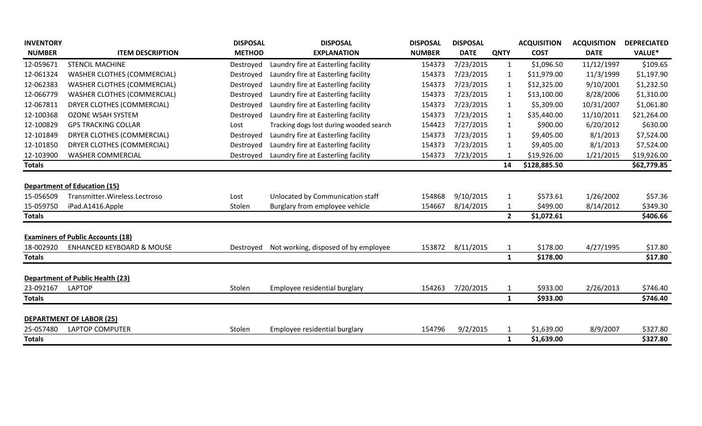| <b>INVENTORY</b> |                                          | <b>DISPOSAL</b> | <b>DISPOSAL</b>                         | <b>DISPOSAL</b> | <b>DISPOSAL</b> |              | <b>ACQUISITION</b> | <b>ACQUISITION</b> | <b>DEPRECIATED</b> |
|------------------|------------------------------------------|-----------------|-----------------------------------------|-----------------|-----------------|--------------|--------------------|--------------------|--------------------|
| <b>NUMBER</b>    | <b>ITEM DESCRIPTION</b>                  | <b>METHOD</b>   | <b>EXPLANATION</b>                      | <b>NUMBER</b>   | <b>DATE</b>     | <b>QNTY</b>  | <b>COST</b>        | <b>DATE</b>        | VALUE*             |
| 12-059671        | <b>STENCIL MACHINE</b>                   | Destroyed       | Laundry fire at Easterling facility     | 154373          | 7/23/2015       | $\mathbf{1}$ | \$1,096.50         | 11/12/1997         | \$109.65           |
| 12-061324        | WASHER CLOTHES (COMMERCIAL)              | Destroyed       | Laundry fire at Easterling facility     | 154373          | 7/23/2015       | $\mathbf{1}$ | \$11,979.00        | 11/3/1999          | \$1,197.90         |
| 12-062383        | <b>WASHER CLOTHES (COMMERCIAL)</b>       | Destroyed       | Laundry fire at Easterling facility     | 154373          | 7/23/2015       | 1            | \$12,325.00        | 9/10/2001          | \$1,232.50         |
| 12-066779        | <b>WASHER CLOTHES (COMMERCIAL)</b>       | Destroyed       | Laundry fire at Easterling facility     | 154373          | 7/23/2015       | $\mathbf{1}$ | \$13,100.00        | 8/28/2006          | \$1,310.00         |
| 12-067811        | DRYER CLOTHES (COMMERCIAL)               | Destroyed       | Laundry fire at Easterling facility     | 154373          | 7/23/2015       | $\mathbf{1}$ | \$5,309.00         | 10/31/2007         | \$1,061.80         |
| 12-100368        | <b>OZONE WSAH SYSTEM</b>                 | Destroyed       | Laundry fire at Easterling facility     | 154373          | 7/23/2015       | $\mathbf{1}$ | \$35,440.00        | 11/10/2011         | \$21,264.00        |
| 12-100829        | <b>GPS TRACKING COLLAR</b>               | Lost            | Tracking dogs lost during wooded search | 154423          | 7/27/2015       | $\mathbf{1}$ | \$900.00           | 6/20/2012          | \$630.00           |
| 12-101849        | DRYER CLOTHES (COMMERCIAL)               | Destroyed       | Laundry fire at Easterling facility     | 154373          | 7/23/2015       | 1            | \$9,405.00         | 8/1/2013           | \$7,524.00         |
| 12-101850        | DRYER CLOTHES (COMMERCIAL)               | Destroyed       | Laundry fire at Easterling facility     | 154373          | 7/23/2015       | 1            | \$9,405.00         | 8/1/2013           | \$7,524.00         |
| 12-103900        | <b>WASHER COMMERCIAL</b>                 | Destroyed       | Laundry fire at Easterling facility     | 154373          | 7/23/2015       | 1            | \$19,926.00        | 1/21/2015          | \$19,926.00        |
| <b>Totals</b>    |                                          |                 |                                         |                 |                 | 14           | \$128,885.50       |                    | \$62,779.85        |
|                  | <b>Department of Education (15)</b>      |                 |                                         |                 |                 |              |                    |                    |                    |
| 15-056509        | Transmitter.Wireless.Lectroso            | Lost            | Unlocated by Communication staff        | 154868          | 9/10/2015       | 1            | \$573.61           | 1/26/2002          | \$57.36            |
| 15-059750        | iPad.A1416.Apple                         | Stolen          | Burglary from employee vehicle          | 154667          | 8/14/2015       | $\mathbf{1}$ | \$499.00           | 8/14/2012          | \$349.30           |
| <b>Totals</b>    |                                          |                 |                                         |                 |                 | $\mathbf{2}$ | \$1,072.61         |                    | \$406.66           |
|                  | <b>Examiners of Public Accounts (18)</b> |                 |                                         |                 |                 |              |                    |                    |                    |
| 18-002920        | <b>ENHANCED KEYBOARD &amp; MOUSE</b>     | Destroyed       | Not working, disposed of by employee    | 153872          | 8/11/2015       | $\mathbf{1}$ | \$178.00           | 4/27/1995          | \$17.80            |
| <b>Totals</b>    |                                          |                 |                                         |                 |                 | $\mathbf{1}$ | \$178.00           |                    | \$17.80            |
|                  | <b>Department of Public Health (23)</b>  |                 |                                         |                 |                 |              |                    |                    |                    |
| 23-092167        | <b>LAPTOP</b>                            | Stolen          | Employee residential burglary           | 154263          | 7/20/2015       | $\mathbf{1}$ | \$933.00           | 2/26/2013          | \$746.40           |
| <b>Totals</b>    |                                          |                 |                                         |                 |                 | 1            | \$933.00           |                    | \$746.40           |
|                  | <b>DEPARTMENT OF LABOR (25)</b>          |                 |                                         |                 |                 |              |                    |                    |                    |
| 25-057480        | LAPTOP COMPUTER                          | Stolen          | Employee residential burglary           | 154796          | 9/2/2015        | 1            | \$1,639.00         | 8/9/2007           | \$327.80           |
| <b>Totals</b>    |                                          |                 |                                         |                 |                 | $\mathbf{1}$ | \$1,639.00         |                    | \$327.80           |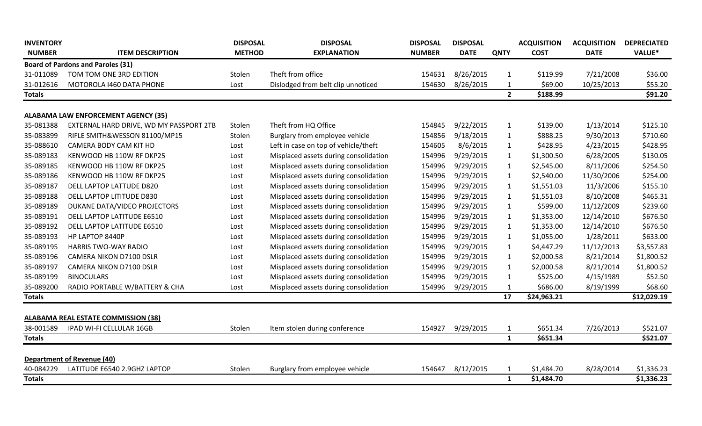| <b>Board of Pardons and Paroles (31)</b><br>Theft from office<br>8/26/2015<br>TOM TOM ONE 3RD EDITION<br>\$119.99<br>7/21/2008<br>\$36.00<br>31-011089<br>Stolen<br>154631<br>$\mathbf{1}$<br>31-012616<br>8/26/2015<br>\$69.00<br>\$55.20<br>MOTOROLA 1460 DATA PHONE<br>Dislodged from belt clip unnoticed<br>154630<br>$\mathbf{1}$<br>10/25/2013<br>Lost<br>2 <sup>1</sup><br>\$188.99<br>\$91.20<br><b>Totals</b><br><b>ALABAMA LAW ENFORCEMENT AGENCY (35)</b><br>35-081388<br>EXTERNAL HARD DRIVE, WD MY PASSPORT 2TB<br>Theft from HQ Office<br>9/22/2015<br>\$139.00<br>1/13/2014<br>\$125.10<br>Stolen<br>154845<br>$\mathbf{1}$<br>35-083899<br>9/18/2015<br>\$888.25<br>\$710.60<br>RIFLE SMITH&WESSON 81100/MP15<br>Stolen<br>Burglary from employee vehicle<br>154856<br>$\mathbf{1}$<br>9/30/2013<br>8/6/2015<br>\$428.95<br>35-088610<br>Left in case on top of vehicle/theft<br>154605<br>\$428.95<br>4/23/2015<br>CAMERA BODY CAM KIT HD<br>Lost<br>$\mathbf{1}$<br>35-089183<br>Misplaced assets during consolidation<br>9/29/2015<br>6/28/2005<br>\$130.05<br>KENWOOD HB 110W RF DKP25<br>154996<br>\$1,300.50<br>Lost<br>$\mathbf{1}$<br>35-089185<br>9/29/2015<br>\$2,545.00<br>8/11/2006<br>\$254.50<br>KENWOOD HB 110W RF DKP25<br>Misplaced assets during consolidation<br>154996<br>$\mathbf{1}$<br>Lost<br>35-089186<br>9/29/2015<br>11/30/2006<br>\$254.00<br>KENWOOD HB 110W RF DKP25<br>Misplaced assets during consolidation<br>154996<br>\$2,540.00<br>$\mathbf{1}$<br>Lost<br>Misplaced assets during consolidation<br>9/29/2015<br>\$1,551.03<br>11/3/2006<br>\$155.10<br>DELL LAPTOP LATTUDE D820<br>154996<br>Lost<br>$\mathbf{1}$<br>35-089188<br>DELL LAPTOP LITITUDE D830<br>Misplaced assets during consolidation<br>154996<br>9/29/2015<br>\$1,551.03<br>8/10/2008<br>\$465.31<br>$\mathbf{1}$<br>Lost<br>9/29/2015<br>DUKANE DATA/VIDEO PROJECTORS<br>Misplaced assets during consolidation<br>154996<br>\$599.00<br>11/12/2009<br>\$239.60<br>$\mathbf{1}$<br>Lost<br>35-089191<br>Misplaced assets during consolidation<br>9/29/2015<br>\$676.50<br>DELL LAPTOP LATITUDE E6510<br>154996<br>\$1,353.00<br>12/14/2010<br>Lost<br>$\mathbf{1}$<br>35-089192<br>Misplaced assets during consolidation<br>154996<br>9/29/2015<br>\$1,353.00<br>12/14/2010<br>\$676.50<br>DELL LAPTOP LATITUDE E6510<br>$\mathbf{1}$<br>Lost<br>9/29/2015<br>35-089193<br>HP LAPTOP 8440P<br>Misplaced assets during consolidation<br>154996<br>\$1,055.00<br>1/28/2011<br>\$633.00<br>$\mathbf{1}$<br>Lost<br>9/29/2015<br>35-089195<br>\$4,447.29<br>11/12/2013<br>\$3,557.83<br><b>HARRIS TWO-WAY RADIO</b><br>Misplaced assets during consolidation<br>154996<br>$\mathbf{1}$<br>Lost<br>9/29/2015<br>35-089196<br>Misplaced assets during consolidation<br>154996<br>\$2,000.58<br>8/21/2014<br>\$1,800.52<br>CAMERA NIKON D7100 DSLR<br>$\mathbf{1}$<br>Lost<br>35-089197<br>9/29/2015<br>CAMERA NIKON D7100 DSLR<br>Misplaced assets during consolidation<br>154996<br>$\mathbf{1}$<br>\$2,000.58<br>8/21/2014<br>\$1,800.52<br>Lost<br>Misplaced assets during consolidation<br>35-089199<br>9/29/2015<br>4/15/1989<br>\$52.50<br><b>BINOCULARS</b><br>154996<br>\$525.00<br>Lost<br>$\mathbf{1}$<br>35-089200<br>RADIO PORTABLE W/BATTERY & CHA<br>Misplaced assets during consolidation<br>154996<br>9/29/2015<br>\$686.00<br>\$68.60<br>$\mathbf{1}$<br>8/19/1999<br>Lost<br>17<br>\$12,029.19<br>\$24,963.21<br><b>Totals</b><br><b>ALABAMA REAL ESTATE COMMISSION (38)</b><br>38-001589<br>IPAD WI-FI CELLULAR 16GB<br>154927<br>9/29/2015<br>\$651.34<br>7/26/2013<br>\$521.07<br>Item stolen during conference<br>$\mathbf{1}$<br>Stolen<br>$\mathbf{1}$<br>\$651.34<br>\$521.07<br><b>Totals</b><br><b>Department of Revenue (40)</b><br>40-084229<br>LATITUDE E6540 2.9GHZ LAPTOP<br>8/12/2015<br>\$1,484.70<br>8/28/2014<br>\$1,336.23<br>Stolen<br>Burglary from employee vehicle<br>154647<br>1<br>\$1,484.70<br>\$1,336.23<br><b>Totals</b><br>$\mathbf{1}$ | <b>INVENTORY</b><br><b>NUMBER</b> | <b>ITEM DESCRIPTION</b> | <b>DISPOSAL</b><br><b>METHOD</b> | <b>DISPOSAL</b><br><b>EXPLANATION</b> | <b>DISPOSAL</b><br><b>NUMBER</b> | <b>DISPOSAL</b><br><b>DATE</b> | <b>QNTY</b> | <b>ACQUISITION</b><br><b>COST</b> | <b>ACQUISITION</b><br><b>DATE</b> | <b>DEPRECIATED</b><br>VALUE* |
|---------------------------------------------------------------------------------------------------------------------------------------------------------------------------------------------------------------------------------------------------------------------------------------------------------------------------------------------------------------------------------------------------------------------------------------------------------------------------------------------------------------------------------------------------------------------------------------------------------------------------------------------------------------------------------------------------------------------------------------------------------------------------------------------------------------------------------------------------------------------------------------------------------------------------------------------------------------------------------------------------------------------------------------------------------------------------------------------------------------------------------------------------------------------------------------------------------------------------------------------------------------------------------------------------------------------------------------------------------------------------------------------------------------------------------------------------------------------------------------------------------------------------------------------------------------------------------------------------------------------------------------------------------------------------------------------------------------------------------------------------------------------------------------------------------------------------------------------------------------------------------------------------------------------------------------------------------------------------------------------------------------------------------------------------------------------------------------------------------------------------------------------------------------------------------------------------------------------------------------------------------------------------------------------------------------------------------------------------------------------------------------------------------------------------------------------------------------------------------------------------------------------------------------------------------------------------------------------------------------------------------------------------------------------------------------------------------------------------------------------------------------------------------------------------------------------------------------------------------------------------------------------------------------------------------------------------------------------------------------------------------------------------------------------------------------------------------------------------------------------------------------------------------------------------------------------------------------------------------------------------------------------------------------------------------------------------------------------------------------------------------------------------------------------------------------------------------------------------------------------------------------------------------------------------------------------------------------------------------------------------------------------------------------------------------------------------------------------------------------------------------------------------------------------------------------------------------------------------------------------------------------------------------------------------------------------------------------------------------------------------------|-----------------------------------|-------------------------|----------------------------------|---------------------------------------|----------------------------------|--------------------------------|-------------|-----------------------------------|-----------------------------------|------------------------------|
|                                                                                                                                                                                                                                                                                                                                                                                                                                                                                                                                                                                                                                                                                                                                                                                                                                                                                                                                                                                                                                                                                                                                                                                                                                                                                                                                                                                                                                                                                                                                                                                                                                                                                                                                                                                                                                                                                                                                                                                                                                                                                                                                                                                                                                                                                                                                                                                                                                                                                                                                                                                                                                                                                                                                                                                                                                                                                                                                                                                                                                                                                                                                                                                                                                                                                                                                                                                                                                                                                                                                                                                                                                                                                                                                                                                                                                                                                                                                                                                                         |                                   |                         |                                  |                                       |                                  |                                |             |                                   |                                   |                              |
|                                                                                                                                                                                                                                                                                                                                                                                                                                                                                                                                                                                                                                                                                                                                                                                                                                                                                                                                                                                                                                                                                                                                                                                                                                                                                                                                                                                                                                                                                                                                                                                                                                                                                                                                                                                                                                                                                                                                                                                                                                                                                                                                                                                                                                                                                                                                                                                                                                                                                                                                                                                                                                                                                                                                                                                                                                                                                                                                                                                                                                                                                                                                                                                                                                                                                                                                                                                                                                                                                                                                                                                                                                                                                                                                                                                                                                                                                                                                                                                                         |                                   |                         |                                  |                                       |                                  |                                |             |                                   |                                   |                              |
|                                                                                                                                                                                                                                                                                                                                                                                                                                                                                                                                                                                                                                                                                                                                                                                                                                                                                                                                                                                                                                                                                                                                                                                                                                                                                                                                                                                                                                                                                                                                                                                                                                                                                                                                                                                                                                                                                                                                                                                                                                                                                                                                                                                                                                                                                                                                                                                                                                                                                                                                                                                                                                                                                                                                                                                                                                                                                                                                                                                                                                                                                                                                                                                                                                                                                                                                                                                                                                                                                                                                                                                                                                                                                                                                                                                                                                                                                                                                                                                                         |                                   |                         |                                  |                                       |                                  |                                |             |                                   |                                   |                              |
|                                                                                                                                                                                                                                                                                                                                                                                                                                                                                                                                                                                                                                                                                                                                                                                                                                                                                                                                                                                                                                                                                                                                                                                                                                                                                                                                                                                                                                                                                                                                                                                                                                                                                                                                                                                                                                                                                                                                                                                                                                                                                                                                                                                                                                                                                                                                                                                                                                                                                                                                                                                                                                                                                                                                                                                                                                                                                                                                                                                                                                                                                                                                                                                                                                                                                                                                                                                                                                                                                                                                                                                                                                                                                                                                                                                                                                                                                                                                                                                                         |                                   |                         |                                  |                                       |                                  |                                |             |                                   |                                   |                              |
|                                                                                                                                                                                                                                                                                                                                                                                                                                                                                                                                                                                                                                                                                                                                                                                                                                                                                                                                                                                                                                                                                                                                                                                                                                                                                                                                                                                                                                                                                                                                                                                                                                                                                                                                                                                                                                                                                                                                                                                                                                                                                                                                                                                                                                                                                                                                                                                                                                                                                                                                                                                                                                                                                                                                                                                                                                                                                                                                                                                                                                                                                                                                                                                                                                                                                                                                                                                                                                                                                                                                                                                                                                                                                                                                                                                                                                                                                                                                                                                                         |                                   |                         |                                  |                                       |                                  |                                |             |                                   |                                   |                              |
|                                                                                                                                                                                                                                                                                                                                                                                                                                                                                                                                                                                                                                                                                                                                                                                                                                                                                                                                                                                                                                                                                                                                                                                                                                                                                                                                                                                                                                                                                                                                                                                                                                                                                                                                                                                                                                                                                                                                                                                                                                                                                                                                                                                                                                                                                                                                                                                                                                                                                                                                                                                                                                                                                                                                                                                                                                                                                                                                                                                                                                                                                                                                                                                                                                                                                                                                                                                                                                                                                                                                                                                                                                                                                                                                                                                                                                                                                                                                                                                                         |                                   |                         |                                  |                                       |                                  |                                |             |                                   |                                   |                              |
|                                                                                                                                                                                                                                                                                                                                                                                                                                                                                                                                                                                                                                                                                                                                                                                                                                                                                                                                                                                                                                                                                                                                                                                                                                                                                                                                                                                                                                                                                                                                                                                                                                                                                                                                                                                                                                                                                                                                                                                                                                                                                                                                                                                                                                                                                                                                                                                                                                                                                                                                                                                                                                                                                                                                                                                                                                                                                                                                                                                                                                                                                                                                                                                                                                                                                                                                                                                                                                                                                                                                                                                                                                                                                                                                                                                                                                                                                                                                                                                                         |                                   |                         |                                  |                                       |                                  |                                |             |                                   |                                   |                              |
|                                                                                                                                                                                                                                                                                                                                                                                                                                                                                                                                                                                                                                                                                                                                                                                                                                                                                                                                                                                                                                                                                                                                                                                                                                                                                                                                                                                                                                                                                                                                                                                                                                                                                                                                                                                                                                                                                                                                                                                                                                                                                                                                                                                                                                                                                                                                                                                                                                                                                                                                                                                                                                                                                                                                                                                                                                                                                                                                                                                                                                                                                                                                                                                                                                                                                                                                                                                                                                                                                                                                                                                                                                                                                                                                                                                                                                                                                                                                                                                                         |                                   |                         |                                  |                                       |                                  |                                |             |                                   |                                   |                              |
|                                                                                                                                                                                                                                                                                                                                                                                                                                                                                                                                                                                                                                                                                                                                                                                                                                                                                                                                                                                                                                                                                                                                                                                                                                                                                                                                                                                                                                                                                                                                                                                                                                                                                                                                                                                                                                                                                                                                                                                                                                                                                                                                                                                                                                                                                                                                                                                                                                                                                                                                                                                                                                                                                                                                                                                                                                                                                                                                                                                                                                                                                                                                                                                                                                                                                                                                                                                                                                                                                                                                                                                                                                                                                                                                                                                                                                                                                                                                                                                                         |                                   |                         |                                  |                                       |                                  |                                |             |                                   |                                   |                              |
|                                                                                                                                                                                                                                                                                                                                                                                                                                                                                                                                                                                                                                                                                                                                                                                                                                                                                                                                                                                                                                                                                                                                                                                                                                                                                                                                                                                                                                                                                                                                                                                                                                                                                                                                                                                                                                                                                                                                                                                                                                                                                                                                                                                                                                                                                                                                                                                                                                                                                                                                                                                                                                                                                                                                                                                                                                                                                                                                                                                                                                                                                                                                                                                                                                                                                                                                                                                                                                                                                                                                                                                                                                                                                                                                                                                                                                                                                                                                                                                                         |                                   |                         |                                  |                                       |                                  |                                |             |                                   |                                   |                              |
|                                                                                                                                                                                                                                                                                                                                                                                                                                                                                                                                                                                                                                                                                                                                                                                                                                                                                                                                                                                                                                                                                                                                                                                                                                                                                                                                                                                                                                                                                                                                                                                                                                                                                                                                                                                                                                                                                                                                                                                                                                                                                                                                                                                                                                                                                                                                                                                                                                                                                                                                                                                                                                                                                                                                                                                                                                                                                                                                                                                                                                                                                                                                                                                                                                                                                                                                                                                                                                                                                                                                                                                                                                                                                                                                                                                                                                                                                                                                                                                                         |                                   |                         |                                  |                                       |                                  |                                |             |                                   |                                   |                              |
|                                                                                                                                                                                                                                                                                                                                                                                                                                                                                                                                                                                                                                                                                                                                                                                                                                                                                                                                                                                                                                                                                                                                                                                                                                                                                                                                                                                                                                                                                                                                                                                                                                                                                                                                                                                                                                                                                                                                                                                                                                                                                                                                                                                                                                                                                                                                                                                                                                                                                                                                                                                                                                                                                                                                                                                                                                                                                                                                                                                                                                                                                                                                                                                                                                                                                                                                                                                                                                                                                                                                                                                                                                                                                                                                                                                                                                                                                                                                                                                                         |                                   |                         |                                  |                                       |                                  |                                |             |                                   |                                   |                              |
|                                                                                                                                                                                                                                                                                                                                                                                                                                                                                                                                                                                                                                                                                                                                                                                                                                                                                                                                                                                                                                                                                                                                                                                                                                                                                                                                                                                                                                                                                                                                                                                                                                                                                                                                                                                                                                                                                                                                                                                                                                                                                                                                                                                                                                                                                                                                                                                                                                                                                                                                                                                                                                                                                                                                                                                                                                                                                                                                                                                                                                                                                                                                                                                                                                                                                                                                                                                                                                                                                                                                                                                                                                                                                                                                                                                                                                                                                                                                                                                                         | 35-089187                         |                         |                                  |                                       |                                  |                                |             |                                   |                                   |                              |
|                                                                                                                                                                                                                                                                                                                                                                                                                                                                                                                                                                                                                                                                                                                                                                                                                                                                                                                                                                                                                                                                                                                                                                                                                                                                                                                                                                                                                                                                                                                                                                                                                                                                                                                                                                                                                                                                                                                                                                                                                                                                                                                                                                                                                                                                                                                                                                                                                                                                                                                                                                                                                                                                                                                                                                                                                                                                                                                                                                                                                                                                                                                                                                                                                                                                                                                                                                                                                                                                                                                                                                                                                                                                                                                                                                                                                                                                                                                                                                                                         |                                   |                         |                                  |                                       |                                  |                                |             |                                   |                                   |                              |
|                                                                                                                                                                                                                                                                                                                                                                                                                                                                                                                                                                                                                                                                                                                                                                                                                                                                                                                                                                                                                                                                                                                                                                                                                                                                                                                                                                                                                                                                                                                                                                                                                                                                                                                                                                                                                                                                                                                                                                                                                                                                                                                                                                                                                                                                                                                                                                                                                                                                                                                                                                                                                                                                                                                                                                                                                                                                                                                                                                                                                                                                                                                                                                                                                                                                                                                                                                                                                                                                                                                                                                                                                                                                                                                                                                                                                                                                                                                                                                                                         | 35-089189                         |                         |                                  |                                       |                                  |                                |             |                                   |                                   |                              |
|                                                                                                                                                                                                                                                                                                                                                                                                                                                                                                                                                                                                                                                                                                                                                                                                                                                                                                                                                                                                                                                                                                                                                                                                                                                                                                                                                                                                                                                                                                                                                                                                                                                                                                                                                                                                                                                                                                                                                                                                                                                                                                                                                                                                                                                                                                                                                                                                                                                                                                                                                                                                                                                                                                                                                                                                                                                                                                                                                                                                                                                                                                                                                                                                                                                                                                                                                                                                                                                                                                                                                                                                                                                                                                                                                                                                                                                                                                                                                                                                         |                                   |                         |                                  |                                       |                                  |                                |             |                                   |                                   |                              |
|                                                                                                                                                                                                                                                                                                                                                                                                                                                                                                                                                                                                                                                                                                                                                                                                                                                                                                                                                                                                                                                                                                                                                                                                                                                                                                                                                                                                                                                                                                                                                                                                                                                                                                                                                                                                                                                                                                                                                                                                                                                                                                                                                                                                                                                                                                                                                                                                                                                                                                                                                                                                                                                                                                                                                                                                                                                                                                                                                                                                                                                                                                                                                                                                                                                                                                                                                                                                                                                                                                                                                                                                                                                                                                                                                                                                                                                                                                                                                                                                         |                                   |                         |                                  |                                       |                                  |                                |             |                                   |                                   |                              |
|                                                                                                                                                                                                                                                                                                                                                                                                                                                                                                                                                                                                                                                                                                                                                                                                                                                                                                                                                                                                                                                                                                                                                                                                                                                                                                                                                                                                                                                                                                                                                                                                                                                                                                                                                                                                                                                                                                                                                                                                                                                                                                                                                                                                                                                                                                                                                                                                                                                                                                                                                                                                                                                                                                                                                                                                                                                                                                                                                                                                                                                                                                                                                                                                                                                                                                                                                                                                                                                                                                                                                                                                                                                                                                                                                                                                                                                                                                                                                                                                         |                                   |                         |                                  |                                       |                                  |                                |             |                                   |                                   |                              |
|                                                                                                                                                                                                                                                                                                                                                                                                                                                                                                                                                                                                                                                                                                                                                                                                                                                                                                                                                                                                                                                                                                                                                                                                                                                                                                                                                                                                                                                                                                                                                                                                                                                                                                                                                                                                                                                                                                                                                                                                                                                                                                                                                                                                                                                                                                                                                                                                                                                                                                                                                                                                                                                                                                                                                                                                                                                                                                                                                                                                                                                                                                                                                                                                                                                                                                                                                                                                                                                                                                                                                                                                                                                                                                                                                                                                                                                                                                                                                                                                         |                                   |                         |                                  |                                       |                                  |                                |             |                                   |                                   |                              |
|                                                                                                                                                                                                                                                                                                                                                                                                                                                                                                                                                                                                                                                                                                                                                                                                                                                                                                                                                                                                                                                                                                                                                                                                                                                                                                                                                                                                                                                                                                                                                                                                                                                                                                                                                                                                                                                                                                                                                                                                                                                                                                                                                                                                                                                                                                                                                                                                                                                                                                                                                                                                                                                                                                                                                                                                                                                                                                                                                                                                                                                                                                                                                                                                                                                                                                                                                                                                                                                                                                                                                                                                                                                                                                                                                                                                                                                                                                                                                                                                         |                                   |                         |                                  |                                       |                                  |                                |             |                                   |                                   |                              |
|                                                                                                                                                                                                                                                                                                                                                                                                                                                                                                                                                                                                                                                                                                                                                                                                                                                                                                                                                                                                                                                                                                                                                                                                                                                                                                                                                                                                                                                                                                                                                                                                                                                                                                                                                                                                                                                                                                                                                                                                                                                                                                                                                                                                                                                                                                                                                                                                                                                                                                                                                                                                                                                                                                                                                                                                                                                                                                                                                                                                                                                                                                                                                                                                                                                                                                                                                                                                                                                                                                                                                                                                                                                                                                                                                                                                                                                                                                                                                                                                         |                                   |                         |                                  |                                       |                                  |                                |             |                                   |                                   |                              |
|                                                                                                                                                                                                                                                                                                                                                                                                                                                                                                                                                                                                                                                                                                                                                                                                                                                                                                                                                                                                                                                                                                                                                                                                                                                                                                                                                                                                                                                                                                                                                                                                                                                                                                                                                                                                                                                                                                                                                                                                                                                                                                                                                                                                                                                                                                                                                                                                                                                                                                                                                                                                                                                                                                                                                                                                                                                                                                                                                                                                                                                                                                                                                                                                                                                                                                                                                                                                                                                                                                                                                                                                                                                                                                                                                                                                                                                                                                                                                                                                         |                                   |                         |                                  |                                       |                                  |                                |             |                                   |                                   |                              |
|                                                                                                                                                                                                                                                                                                                                                                                                                                                                                                                                                                                                                                                                                                                                                                                                                                                                                                                                                                                                                                                                                                                                                                                                                                                                                                                                                                                                                                                                                                                                                                                                                                                                                                                                                                                                                                                                                                                                                                                                                                                                                                                                                                                                                                                                                                                                                                                                                                                                                                                                                                                                                                                                                                                                                                                                                                                                                                                                                                                                                                                                                                                                                                                                                                                                                                                                                                                                                                                                                                                                                                                                                                                                                                                                                                                                                                                                                                                                                                                                         |                                   |                         |                                  |                                       |                                  |                                |             |                                   |                                   |                              |
|                                                                                                                                                                                                                                                                                                                                                                                                                                                                                                                                                                                                                                                                                                                                                                                                                                                                                                                                                                                                                                                                                                                                                                                                                                                                                                                                                                                                                                                                                                                                                                                                                                                                                                                                                                                                                                                                                                                                                                                                                                                                                                                                                                                                                                                                                                                                                                                                                                                                                                                                                                                                                                                                                                                                                                                                                                                                                                                                                                                                                                                                                                                                                                                                                                                                                                                                                                                                                                                                                                                                                                                                                                                                                                                                                                                                                                                                                                                                                                                                         |                                   |                         |                                  |                                       |                                  |                                |             |                                   |                                   |                              |
|                                                                                                                                                                                                                                                                                                                                                                                                                                                                                                                                                                                                                                                                                                                                                                                                                                                                                                                                                                                                                                                                                                                                                                                                                                                                                                                                                                                                                                                                                                                                                                                                                                                                                                                                                                                                                                                                                                                                                                                                                                                                                                                                                                                                                                                                                                                                                                                                                                                                                                                                                                                                                                                                                                                                                                                                                                                                                                                                                                                                                                                                                                                                                                                                                                                                                                                                                                                                                                                                                                                                                                                                                                                                                                                                                                                                                                                                                                                                                                                                         |                                   |                         |                                  |                                       |                                  |                                |             |                                   |                                   |                              |
|                                                                                                                                                                                                                                                                                                                                                                                                                                                                                                                                                                                                                                                                                                                                                                                                                                                                                                                                                                                                                                                                                                                                                                                                                                                                                                                                                                                                                                                                                                                                                                                                                                                                                                                                                                                                                                                                                                                                                                                                                                                                                                                                                                                                                                                                                                                                                                                                                                                                                                                                                                                                                                                                                                                                                                                                                                                                                                                                                                                                                                                                                                                                                                                                                                                                                                                                                                                                                                                                                                                                                                                                                                                                                                                                                                                                                                                                                                                                                                                                         |                                   |                         |                                  |                                       |                                  |                                |             |                                   |                                   |                              |
|                                                                                                                                                                                                                                                                                                                                                                                                                                                                                                                                                                                                                                                                                                                                                                                                                                                                                                                                                                                                                                                                                                                                                                                                                                                                                                                                                                                                                                                                                                                                                                                                                                                                                                                                                                                                                                                                                                                                                                                                                                                                                                                                                                                                                                                                                                                                                                                                                                                                                                                                                                                                                                                                                                                                                                                                                                                                                                                                                                                                                                                                                                                                                                                                                                                                                                                                                                                                                                                                                                                                                                                                                                                                                                                                                                                                                                                                                                                                                                                                         |                                   |                         |                                  |                                       |                                  |                                |             |                                   |                                   |                              |
|                                                                                                                                                                                                                                                                                                                                                                                                                                                                                                                                                                                                                                                                                                                                                                                                                                                                                                                                                                                                                                                                                                                                                                                                                                                                                                                                                                                                                                                                                                                                                                                                                                                                                                                                                                                                                                                                                                                                                                                                                                                                                                                                                                                                                                                                                                                                                                                                                                                                                                                                                                                                                                                                                                                                                                                                                                                                                                                                                                                                                                                                                                                                                                                                                                                                                                                                                                                                                                                                                                                                                                                                                                                                                                                                                                                                                                                                                                                                                                                                         |                                   |                         |                                  |                                       |                                  |                                |             |                                   |                                   |                              |
|                                                                                                                                                                                                                                                                                                                                                                                                                                                                                                                                                                                                                                                                                                                                                                                                                                                                                                                                                                                                                                                                                                                                                                                                                                                                                                                                                                                                                                                                                                                                                                                                                                                                                                                                                                                                                                                                                                                                                                                                                                                                                                                                                                                                                                                                                                                                                                                                                                                                                                                                                                                                                                                                                                                                                                                                                                                                                                                                                                                                                                                                                                                                                                                                                                                                                                                                                                                                                                                                                                                                                                                                                                                                                                                                                                                                                                                                                                                                                                                                         |                                   |                         |                                  |                                       |                                  |                                |             |                                   |                                   |                              |
|                                                                                                                                                                                                                                                                                                                                                                                                                                                                                                                                                                                                                                                                                                                                                                                                                                                                                                                                                                                                                                                                                                                                                                                                                                                                                                                                                                                                                                                                                                                                                                                                                                                                                                                                                                                                                                                                                                                                                                                                                                                                                                                                                                                                                                                                                                                                                                                                                                                                                                                                                                                                                                                                                                                                                                                                                                                                                                                                                                                                                                                                                                                                                                                                                                                                                                                                                                                                                                                                                                                                                                                                                                                                                                                                                                                                                                                                                                                                                                                                         |                                   |                         |                                  |                                       |                                  |                                |             |                                   |                                   |                              |
|                                                                                                                                                                                                                                                                                                                                                                                                                                                                                                                                                                                                                                                                                                                                                                                                                                                                                                                                                                                                                                                                                                                                                                                                                                                                                                                                                                                                                                                                                                                                                                                                                                                                                                                                                                                                                                                                                                                                                                                                                                                                                                                                                                                                                                                                                                                                                                                                                                                                                                                                                                                                                                                                                                                                                                                                                                                                                                                                                                                                                                                                                                                                                                                                                                                                                                                                                                                                                                                                                                                                                                                                                                                                                                                                                                                                                                                                                                                                                                                                         |                                   |                         |                                  |                                       |                                  |                                |             |                                   |                                   |                              |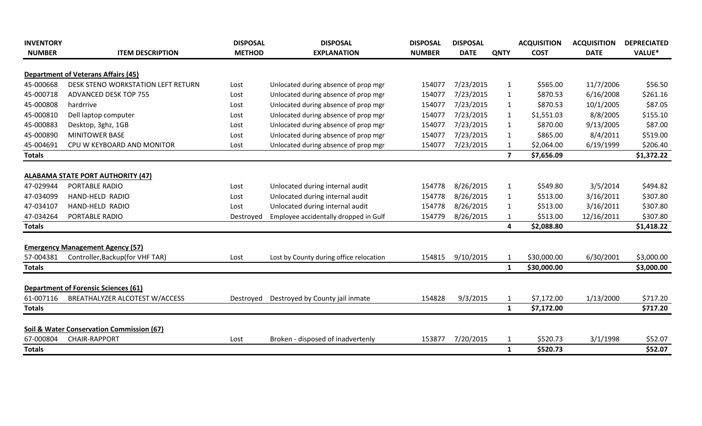| <b>INVENTORY</b> |                                                      | <b>DISPOSAL</b> | <b>DISPOSAL</b>                         | <b>DISPOSAL</b> | <b>DISPOSAL</b> |                | <b>ACQUISITION</b> | <b>ACQUISITION</b> | <b>DEPRECIATED</b> |
|------------------|------------------------------------------------------|-----------------|-----------------------------------------|-----------------|-----------------|----------------|--------------------|--------------------|--------------------|
| <b>NUMBER</b>    | <b>ITEM DESCRIPTION</b>                              | <b>METHOD</b>   | <b>EXPLANATION</b>                      | <b>NUMBER</b>   | <b>DATE</b>     | <b>QNTY</b>    | <b>COST</b>        | <b>DATE</b>        | VALUE*             |
|                  | <b>Department of Veterans Affairs (45)</b>           |                 |                                         |                 |                 |                |                    |                    |                    |
| 45-000668        | DESK STENO WORKSTATION LEFT RETURN                   | Lost            | Unlocated during absence of prop mgr    | 154077          | 7/23/2015       | $\mathbf{1}$   | \$565.00           | 11/7/2006          | \$56.50            |
| 45-000718        | ADVANCED DESK TOP 755                                | Lost            | Unlocated during absence of prop mgr    | 154077          | 7/23/2015       | 1              | \$870.53           | 6/16/2008          | \$261.16           |
| 45-000808        | hardrrive                                            | Lost            | Unlocated during absence of prop mgr    | 154077          | 7/23/2015       | $\mathbf{1}$   | \$870.53           | 10/1/2005          | \$87.05            |
| 45-000810        | Dell laptop computer                                 | Lost            | Unlocated during absence of prop mgr    | 154077          | 7/23/2015       | 1              | \$1,551.03         | 8/8/2005           | \$155.10           |
| 45-000883        | Desktop, 3ghz, 1GB                                   | Lost            | Unlocated during absence of prop mgr    | 154077          | 7/23/2015       | $\mathbf{1}$   | \$870.00           | 9/13/2005          | \$87.00            |
| 45-000890        | <b>MINITOWER BASE</b>                                | Lost            | Unlocated during absence of prop mgr    | 154077          | 7/23/2015       | 1              | \$865.00           | 8/4/2011           | \$519.00           |
| 45-004691        | CPU W KEYBOARD AND MONITOR                           | Lost            | Unlocated during absence of prop mgr    | 154077          | 7/23/2015       | $\mathbf{1}$   | \$2,064.00         | 6/19/1999          | \$206.40           |
| <b>Totals</b>    |                                                      |                 |                                         |                 |                 | $\overline{7}$ | \$7,656.09         |                    | \$1,372.22         |
|                  |                                                      |                 |                                         |                 |                 |                |                    |                    |                    |
|                  | <b>ALABAMA STATE PORT AUTHORITY (47)</b>             |                 |                                         |                 |                 |                |                    |                    |                    |
| 47-029944        | PORTABLE RADIO                                       | Lost            | Unlocated during internal audit         | 154778          | 8/26/2015       | 1              | \$549.80           | 3/5/2014           | \$494.82           |
| 47-034099        | HAND-HELD RADIO                                      | Lost            | Unlocated during internal audit         | 154778          | 8/26/2015       | 1              | \$513.00           | 3/16/2011          | \$307.80           |
| 47-034107        | HAND-HELD RADIO                                      | Lost            | Unlocated during internal audit         | 154778          | 8/26/2015       | $\mathbf{1}$   | \$513.00           | 3/16/2011          | \$307.80           |
| 47-034264        | PORTABLE RADIO                                       | Destroyed       | Employee accidentally dropped in Gulf   | 154779          | 8/26/2015       | $\mathbf{1}$   | \$513.00           | 12/16/2011         | \$307.80           |
| <b>Totals</b>    |                                                      |                 |                                         |                 |                 | 4              | \$2,088.80         |                    | \$1,418.22         |
|                  | <b>Emergency Management Agency (57)</b>              |                 |                                         |                 |                 |                |                    |                    |                    |
| 57-004381        | Controller, Backup (for VHF TAR)                     | Lost            | Lost by County during office relocation | 154815          | 9/10/2015       |                | \$30,000.00        | 6/30/2001          | \$3,000.00         |
| <b>Totals</b>    |                                                      |                 |                                         |                 |                 | $\mathbf{1}$   | \$30,000.00        |                    | \$3,000.00         |
|                  | <b>Department of Forensic Sciences (61)</b>          |                 |                                         |                 |                 |                |                    |                    |                    |
| 61-007116        | BREATHALYZER ALCOTEST W/ACCESS                       | Destroved       | Destroyed by County jail inmate         | 154828          | 9/3/2015        | 1              | \$7,172.00         | 1/13/2000          | \$717.20           |
| <b>Totals</b>    |                                                      |                 |                                         |                 |                 | 1              | \$7,172.00         |                    | \$717.20           |
|                  |                                                      |                 |                                         |                 |                 |                |                    |                    |                    |
|                  | <b>Soil &amp; Water Conservation Commission (67)</b> |                 |                                         |                 |                 |                |                    |                    |                    |
| 67-000804        | <b>CHAIR-RAPPORT</b>                                 | Lost            | Broken - disposed of inadvertenly       | 153877          | 7/20/2015       |                | \$520.73           | 3/1/1998           | \$52.07            |
| <b>Totals</b>    |                                                      |                 |                                         |                 |                 | $\mathbf{1}$   | \$520.73           |                    | \$52.07            |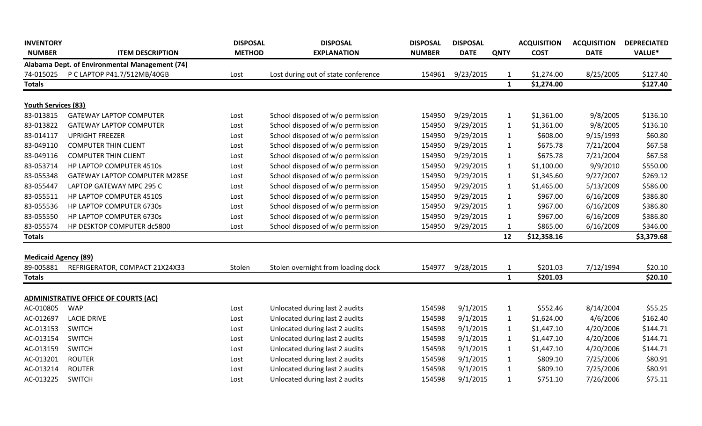| <b>INVENTORY</b><br><b>NUMBER</b> | <b>ITEM DESCRIPTION</b>                        | <b>DISPOSAL</b><br><b>METHOD</b> | <b>DISPOSAL</b><br><b>EXPLANATION</b> | <b>DISPOSAL</b><br><b>NUMBER</b> | <b>DISPOSAL</b><br><b>DATE</b> | <b>QNTY</b>  | <b>ACQUISITION</b><br><b>COST</b> | <b>ACQUISITION</b><br><b>DATE</b> | <b>DEPRECIATED</b><br>VALUE* |
|-----------------------------------|------------------------------------------------|----------------------------------|---------------------------------------|----------------------------------|--------------------------------|--------------|-----------------------------------|-----------------------------------|------------------------------|
|                                   | Alabama Dept. of Environmental Management (74) |                                  |                                       |                                  |                                |              |                                   |                                   |                              |
| 74-015025                         | P C LAPTOP P41.7/512MB/40GB                    | Lost                             | Lost during out of state conference   | 154961                           | 9/23/2015                      | $\mathbf{1}$ | \$1,274.00                        | 8/25/2005                         | \$127.40                     |
| <b>Totals</b>                     |                                                |                                  |                                       |                                  |                                | $\mathbf{1}$ | \$1,274.00                        |                                   | \$127.40                     |
|                                   |                                                |                                  |                                       |                                  |                                |              |                                   |                                   |                              |
| <b>Youth Services (83)</b>        |                                                |                                  |                                       |                                  |                                |              |                                   |                                   |                              |
| 83-013815                         | <b>GATEWAY LAPTOP COMPUTER</b>                 | Lost                             | School disposed of w/o permission     | 154950                           | 9/29/2015                      | $\mathbf{1}$ | \$1,361.00                        | 9/8/2005                          | \$136.10                     |
| 83-013822                         | <b>GATEWAY LAPTOP COMPUTER</b>                 | Lost                             | School disposed of w/o permission     | 154950                           | 9/29/2015                      | $\mathbf{1}$ | \$1,361.00                        | 9/8/2005                          | \$136.10                     |
| 83-014117                         | <b>UPRIGHT FREEZER</b>                         | Lost                             | School disposed of w/o permission     | 154950                           | 9/29/2015                      | $\mathbf{1}$ | \$608.00                          | 9/15/1993                         | \$60.80                      |
| 83-049110                         | <b>COMPUTER THIN CLIENT</b>                    | Lost                             | School disposed of w/o permission     | 154950                           | 9/29/2015                      | $\mathbf{1}$ | \$675.78                          | 7/21/2004                         | \$67.58                      |
| 83-049116                         | <b>COMPUTER THIN CLIENT</b>                    | Lost                             | School disposed of w/o permission     | 154950                           | 9/29/2015                      | $\mathbf{1}$ | \$675.78                          | 7/21/2004                         | \$67.58                      |
| 83-053714                         | HP LAPTOP COMPUTER 4510s                       | Lost                             | School disposed of w/o permission     | 154950                           | 9/29/2015                      | $\mathbf{1}$ | \$1,100.00                        | 9/9/2010                          | \$550.00                     |
| 83-055348                         | GATEWAY LAPTOP COMPUTER M285E                  | Lost                             | School disposed of w/o permission     | 154950                           | 9/29/2015                      | $\mathbf{1}$ | \$1,345.60                        | 9/27/2007                         | \$269.12                     |
| 83-055447                         | LAPTOP GATEWAY MPC 295 C                       | Lost                             | School disposed of w/o permission     | 154950                           | 9/29/2015                      | $\mathbf{1}$ | \$1,465.00                        | 5/13/2009                         | \$586.00                     |
| 83-055511                         | HP LAPTOP COMPUTER 4510S                       | Lost                             | School disposed of w/o permission     | 154950                           | 9/29/2015                      | $\mathbf{1}$ | \$967.00                          | 6/16/2009                         | \$386.80                     |
| 83-055536                         | HP LAPTOP COMPUTER 6730s                       | Lost                             | School disposed of w/o permission     | 154950                           | 9/29/2015                      | $\mathbf{1}$ | \$967.00                          | 6/16/2009                         | \$386.80                     |
| 83-055550                         | HP LAPTOP COMPUTER 6730s                       | Lost                             | School disposed of w/o permission     | 154950                           | 9/29/2015                      | $\mathbf{1}$ | \$967.00                          | 6/16/2009                         | \$386.80                     |
| 83-055574                         | HP DESKTOP COMPUTER dc5800                     | Lost                             | School disposed of w/o permission     | 154950                           | 9/29/2015                      | $\mathbf{1}$ | \$865.00                          | 6/16/2009                         | \$346.00                     |
| <b>Totals</b>                     |                                                |                                  |                                       |                                  |                                | 12           | \$12,358.16                       |                                   | \$3,379.68                   |
|                                   |                                                |                                  |                                       |                                  |                                |              |                                   |                                   |                              |
| <b>Medicaid Agency (89)</b>       |                                                |                                  |                                       |                                  |                                |              |                                   |                                   |                              |
| 89-005881                         | REFRIGERATOR, COMPACT 21X24X33                 | Stolen                           | Stolen overnight from loading dock    | 154977                           | 9/28/2015                      | $\mathbf{1}$ | \$201.03                          | 7/12/1994                         | \$20.10                      |
| <b>Totals</b>                     |                                                |                                  |                                       |                                  |                                | $\mathbf{1}$ | \$201.03                          |                                   | \$20.10                      |
|                                   | <b>ADMINISTRATIVE OFFICE OF COURTS (AC)</b>    |                                  |                                       |                                  |                                |              |                                   |                                   |                              |
| AC-010805                         | <b>WAP</b>                                     | Lost                             | Unlocated during last 2 audits        | 154598                           | 9/1/2015                       | $\mathbf{1}$ | \$552.46                          | 8/14/2004                         | \$55.25                      |
| AC-012697                         | <b>LACIE DRIVE</b>                             | Lost                             | Unlocated during last 2 audits        | 154598                           | 9/1/2015                       | $\mathbf{1}$ | \$1,624.00                        | 4/6/2006                          | \$162.40                     |
| AC-013153                         | <b>SWITCH</b>                                  | Lost                             | Unlocated during last 2 audits        | 154598                           | 9/1/2015                       | $\mathbf{1}$ | \$1,447.10                        | 4/20/2006                         | \$144.71                     |
| AC-013154                         | <b>SWITCH</b>                                  | Lost                             | Unlocated during last 2 audits        | 154598                           | 9/1/2015                       | $\mathbf{1}$ | \$1,447.10                        | 4/20/2006                         | \$144.71                     |
| AC-013159                         | <b>SWITCH</b>                                  | Lost                             | Unlocated during last 2 audits        | 154598                           | 9/1/2015                       | $\mathbf{1}$ | \$1,447.10                        | 4/20/2006                         | \$144.71                     |
| AC-013201                         | <b>ROUTER</b>                                  | Lost                             | Unlocated during last 2 audits        | 154598                           | 9/1/2015                       | $\mathbf{1}$ | \$809.10                          | 7/25/2006                         | \$80.91                      |
| AC-013214                         | <b>ROUTER</b>                                  | Lost                             | Unlocated during last 2 audits        | 154598                           | 9/1/2015                       | $\mathbf{1}$ | \$809.10                          | 7/25/2006                         | \$80.91                      |
| AC-013225                         | <b>SWITCH</b>                                  | Lost                             | Unlocated during last 2 audits        | 154598                           | 9/1/2015                       | $\mathbf{1}$ | \$751.10                          | 7/26/2006                         | \$75.11                      |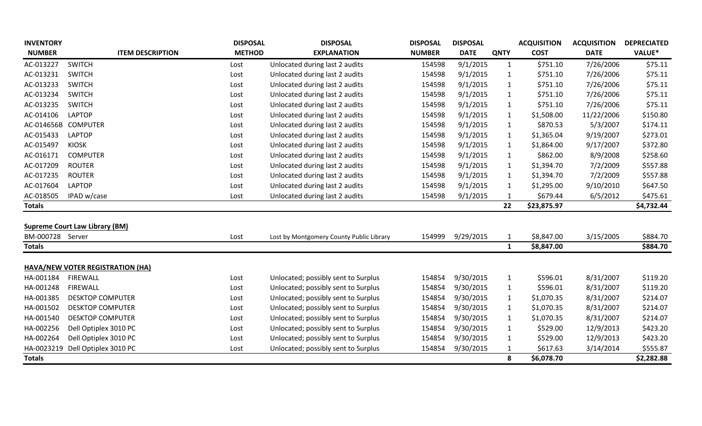| <b>INVENTORY</b> |                                       | <b>DISPOSAL</b> | <b>DISPOSAL</b>                          | <b>DISPOSAL</b> | <b>DISPOSAL</b> |              | <b>ACQUISITION</b> | <b>ACQUISITION</b> | <b>DEPRECIATED</b> |
|------------------|---------------------------------------|-----------------|------------------------------------------|-----------------|-----------------|--------------|--------------------|--------------------|--------------------|
| <b>NUMBER</b>    | <b>ITEM DESCRIPTION</b>               | <b>METHOD</b>   | <b>EXPLANATION</b>                       | <b>NUMBER</b>   | <b>DATE</b>     | <b>QNTY</b>  | <b>COST</b>        | <b>DATE</b>        | <b>VALUE*</b>      |
| AC-013227        | <b>SWITCH</b>                         | Lost            | Unlocated during last 2 audits           | 154598          | 9/1/2015        | $\mathbf{1}$ | \$751.10           | 7/26/2006          | \$75.11            |
| AC-013231        | <b>SWITCH</b>                         | Lost            | Unlocated during last 2 audits           | 154598          | 9/1/2015        | $\mathbf{1}$ | \$751.10           | 7/26/2006          | \$75.11            |
| AC-013233        | <b>SWITCH</b>                         | Lost            | Unlocated during last 2 audits           | 154598          | 9/1/2015        | $\mathbf{1}$ | \$751.10           | 7/26/2006          | \$75.11            |
| AC-013234        | <b>SWITCH</b>                         | Lost            | Unlocated during last 2 audits           | 154598          | 9/1/2015        | $\mathbf{1}$ | \$751.10           | 7/26/2006          | \$75.11            |
| AC-013235        | <b>SWITCH</b>                         | Lost            | Unlocated during last 2 audits           | 154598          | 9/1/2015        | $\mathbf{1}$ | \$751.10           | 7/26/2006          | \$75.11            |
| AC-014106        | <b>LAPTOP</b>                         | Lost            | Unlocated during last 2 audits           | 154598          | 9/1/2015        | $\mathbf{1}$ | \$1,508.00         | 11/22/2006         | \$150.80           |
| AC-014656B       | <b>COMPUTER</b>                       | Lost            | Unlocated during last 2 audits           | 154598          | 9/1/2015        | $\mathbf{1}$ | \$870.53           | 5/3/2007           | \$174.11           |
| AC-015433        | <b>LAPTOP</b>                         | Lost            | Unlocated during last 2 audits           | 154598          | 9/1/2015        | $\mathbf{1}$ | \$1,365.04         | 9/19/2007          | \$273.01           |
| AC-015497        | <b>KIOSK</b>                          | Lost            | Unlocated during last 2 audits           | 154598          | 9/1/2015        | $\mathbf{1}$ | \$1,864.00         | 9/17/2007          | \$372.80           |
| AC-016171        | <b>COMPUTER</b>                       | Lost            | Unlocated during last 2 audits           | 154598          | 9/1/2015        | $\mathbf{1}$ | \$862.00           | 8/9/2008           | \$258.60           |
| AC-017209        | <b>ROUTER</b>                         | Lost            | Unlocated during last 2 audits           | 154598          | 9/1/2015        | $\mathbf{1}$ | \$1,394.70         | 7/2/2009           | \$557.88           |
| AC-017235        | <b>ROUTER</b>                         | Lost            | Unlocated during last 2 audits           | 154598          | 9/1/2015        | $\mathbf{1}$ | \$1,394.70         | 7/2/2009           | \$557.88           |
| AC-017604        | <b>LAPTOP</b>                         | Lost            | Unlocated during last 2 audits           | 154598          | 9/1/2015        | $\mathbf{1}$ | \$1,295.00         | 9/10/2010          | \$647.50           |
| AC-018505        | IPAD w/case                           | Lost            | Unlocated during last 2 audits           | 154598          | 9/1/2015        | $\mathbf{1}$ | \$679.44           | 6/5/2012           | \$475.61           |
| <b>Totals</b>    |                                       |                 |                                          |                 |                 | 22           | \$23,875.97        |                    | \$4,732.44         |
|                  |                                       |                 |                                          |                 |                 |              |                    |                    |                    |
|                  | <b>Supreme Court Law Library (BM)</b> |                 |                                          |                 |                 |              |                    |                    |                    |
| BM-000728 Server |                                       | Lost            | Lost by Montgomery County Public Library | 154999          | 9/29/2015       | $\mathbf{1}$ | \$8,847.00         | 3/15/2005          | \$884.70           |
| <b>Totals</b>    |                                       |                 |                                          |                 |                 | $\mathbf{1}$ | \$8,847.00         |                    | \$884.70           |
|                  | HAVA/NEW VOTER REGISTRATION (HA)      |                 |                                          |                 |                 |              |                    |                    |                    |
| HA-001184        | <b>FIREWALL</b>                       | Lost            | Unlocated; possibly sent to Surplus      | 154854          | 9/30/2015       | $\mathbf{1}$ | \$596.01           | 8/31/2007          | \$119.20           |
| HA-001248        | <b>FIREWALL</b>                       | Lost            | Unlocated; possibly sent to Surplus      | 154854          | 9/30/2015       | $\mathbf{1}$ | \$596.01           | 8/31/2007          | \$119.20           |
| HA-001385        | <b>DESKTOP COMPUTER</b>               | Lost            | Unlocated; possibly sent to Surplus      | 154854          | 9/30/2015       | $\mathbf{1}$ | \$1,070.35         | 8/31/2007          | \$214.07           |
| HA-001502        | <b>DESKTOP COMPUTER</b>               | Lost            | Unlocated; possibly sent to Surplus      | 154854          | 9/30/2015       | $\mathbf{1}$ | \$1,070.35         | 8/31/2007          | \$214.07           |
| HA-001540        | <b>DESKTOP COMPUTER</b>               | Lost            | Unlocated; possibly sent to Surplus      | 154854          | 9/30/2015       | $\mathbf{1}$ | \$1,070.35         | 8/31/2007          | \$214.07           |
| HA-002256        | Dell Optiplex 3010 PC                 | Lost            | Unlocated; possibly sent to Surplus      | 154854          | 9/30/2015       | $\mathbf{1}$ | \$529.00           | 12/9/2013          | \$423.20           |
| HA-002264        | Dell Optiplex 3010 PC                 | Lost            | Unlocated; possibly sent to Surplus      | 154854          | 9/30/2015       | $\mathbf{1}$ | \$529.00           | 12/9/2013          | \$423.20           |
| HA-0023219       | Dell Optiplex 3010 PC                 | Lost            | Unlocated; possibly sent to Surplus      | 154854          | 9/30/2015       | $\mathbf{1}$ | \$617.63           | 3/14/2014          | \$555.87           |
| <b>Totals</b>    |                                       |                 |                                          |                 |                 | 8            | \$6,078.70         |                    | \$2,282.88         |